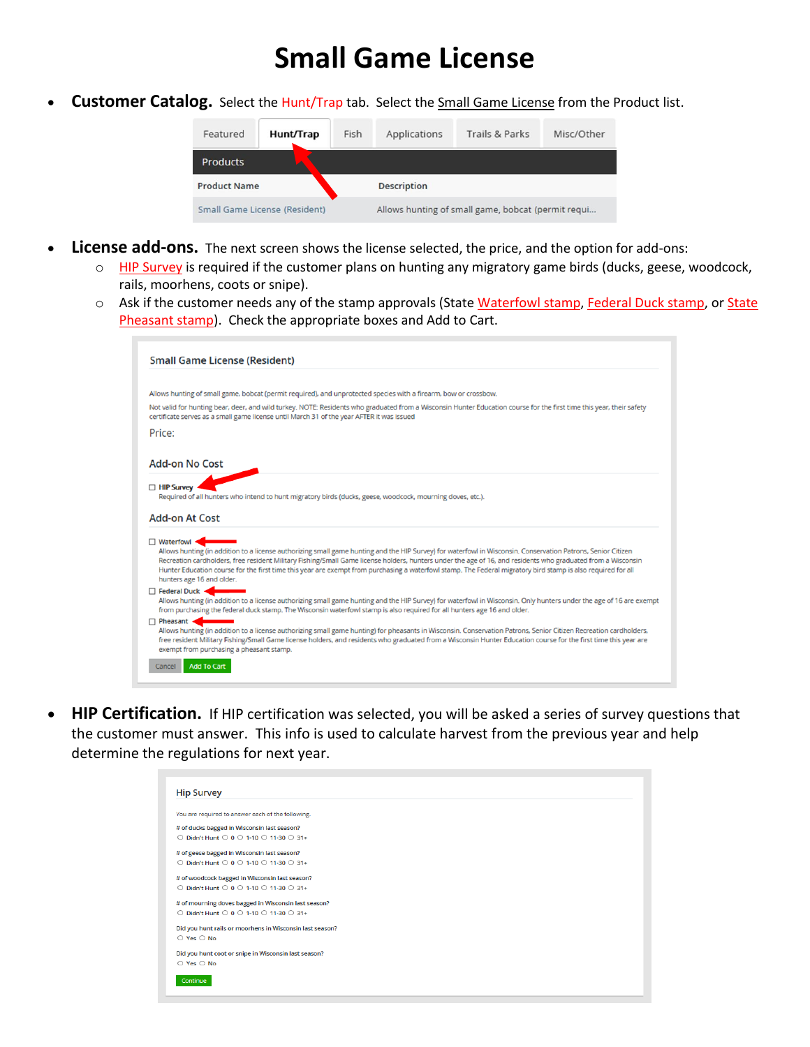## **Small Game License**

• **Customer Catalog.** Select the Hunt/Trap tab. Select the Small Game License from the Product list.



- **License add-ons.** The next screen shows the license selected, the price, and the option for add-ons:
	- o HIP Survey is required if the customer plans on hunting any migratory game birds (ducks, geese, woodcock, rails, moorhens, coots or snipe).
	- o Ask if the customer needs any of the stamp approvals (State Waterfowl stamp, Federal Duck stamp, or State Pheasant stamp). Check the appropriate boxes and Add to Cart.

| <b>Small Game License (Resident)</b>                                                                                                                                                                                                                                                                                                                                                                                                                                                                          |
|---------------------------------------------------------------------------------------------------------------------------------------------------------------------------------------------------------------------------------------------------------------------------------------------------------------------------------------------------------------------------------------------------------------------------------------------------------------------------------------------------------------|
|                                                                                                                                                                                                                                                                                                                                                                                                                                                                                                               |
| Allows hunting of small game, bobcat (permit required), and unprotected species with a firearm, bow or crossbow.                                                                                                                                                                                                                                                                                                                                                                                              |
| Not valid for hunting bear, deer, and wild turkey. NOTE: Residents who graduated from a Wisconsin Hunter Education course for the first time this year, their safety<br>certificate serves as a small game license until March 31 of the year AFTER it was issued                                                                                                                                                                                                                                             |
| Price:                                                                                                                                                                                                                                                                                                                                                                                                                                                                                                        |
| <b>Add-on No Cost</b>                                                                                                                                                                                                                                                                                                                                                                                                                                                                                         |
| $\Box$ HIP Survey                                                                                                                                                                                                                                                                                                                                                                                                                                                                                             |
| Required of all hunters who intend to hunt migratory birds (ducks, geese, woodcock, mourning doves, etc.).                                                                                                                                                                                                                                                                                                                                                                                                    |
| <b>Add-on At Cost</b>                                                                                                                                                                                                                                                                                                                                                                                                                                                                                         |
| □ Waterfowl <<br>Allows hunting (in addition to a license authorizing small game hunting and the HIP Survey) for waterfowl in Wisconsin. Conservation Patrons, Senior Citizen<br>Recreation cardholders, free resident Military Fishing/Small Game license holders, hunters under the age of 16, and residents who graduated from a Wisconsin<br>Hunter Education course for the first time this year are exempt from purchasing a waterfowl stamp. The Federal migratory bird stamp is also required for all |
| hunters age 16 and older.<br>□ Federal Duck <                                                                                                                                                                                                                                                                                                                                                                                                                                                                 |
| Allows hunting (in addition to a license authorizing small game hunting and the HIP Survey) for waterfowl in Wisconsin. Only hunters under the age of 16 are exempt<br>from purchasing the federal duck stamp. The Wisconsin waterfowl stamp is also required for all hunters age 16 and older.                                                                                                                                                                                                               |
| $\Box$ Pheasant<br>Allows hunting (in addition to a license authorizing small game hunting) for pheasants in Wisconsin. Conservation Patrons, Senior Citizen Recreation cardholders,<br>free resident Military Fishing/Small Game license holders, and residents who graduated from a Wisconsin Hunter Education course for the first time this year are<br>exempt from purchasing a pheasant stamp.                                                                                                          |
| <b>Add To Cart</b><br>Cancel                                                                                                                                                                                                                                                                                                                                                                                                                                                                                  |

• **HIP Certification.** If HIP certification was selected, you will be asked a series of survey questions that the customer must answer. This info is used to calculate harvest from the previous year and help determine the regulations for next year.

| <b>Hip Survey</b>                                        |  |
|----------------------------------------------------------|--|
| You are required to answer each of the following.        |  |
| # of ducks bagged in Wisconsin last season?              |  |
| ○ Didn't Hunt ○ 0 ○ 1-10 ○ 11-30 ○ 31+                   |  |
| # of geese bagged in Wisconsin last season?              |  |
| ○ Didn't Hunt ○ 0 ○ 1-10 ○ 11-30 ○ 31+                   |  |
| # of woodcock bagged in Wisconsin last season?           |  |
| ○ Didn't Hunt ○ 0 ○ 1-10 ○ 11-30 ○ 31+                   |  |
| # of mourning doves bagged in Wisconsin last season?     |  |
| ○ Didn't Hunt ○ 0 ○ 1-10 ○ 11-30 ○ 31+                   |  |
| Did you hunt rails or moorhens in Wisconsin last season? |  |
| $O$ Yes $O$ No.                                          |  |
| Did you hunt coot or snipe in Wisconsin last season?     |  |
| $\bigcirc$ Yes $\bigcirc$ No                             |  |
| Continue                                                 |  |
|                                                          |  |